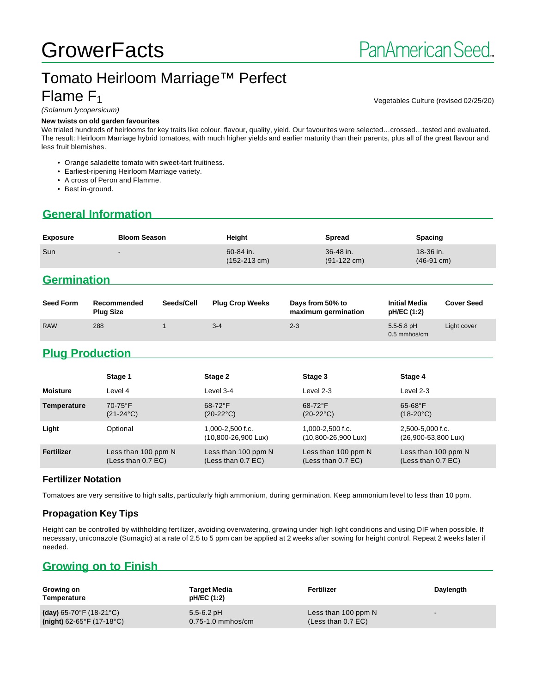# Tomato Heirloom Marriage™ Perfect Flame F<sup>1</sup>

Vegetables Culture (revised 02/25/20)

#### (Solanum lycopersicum)

#### **New twists on old garden favourites**

We trialed hundreds of heirlooms for key traits like colour, flavour, quality, yield. Our favourites were selected…crossed…tested and evaluated. The result: Heirloom Marriage hybrid tomatoes, with much higher yields and earlier maturity than their parents, plus all of the great flavour and less fruit blemishes.

- Orange saladette tomato with sweet-tart fruitiness.
- Earliest-ripening Heirloom Marriage variety.
- A cross of Peron and Flamme.
- Best in-ground.

## **General Information**

| <b>Exposure</b> | <b>Bloom Season</b>      | Height                              | <b>Spread</b>                      | <b>Spacing</b>                      |
|-----------------|--------------------------|-------------------------------------|------------------------------------|-------------------------------------|
| Sun             | $\overline{\phantom{a}}$ | 60-84 in.<br>$(152-213 \text{ cm})$ | 36-48 in.<br>$(91-122 \text{ cm})$ | $18-36$ in.<br>$(46-91 \text{ cm})$ |

## **Germination**

| <b>Seed Form</b> | Recommended<br><b>Plug Size</b> | Seeds/Cell | <b>Plug Crop Weeks</b> | Days from 50% to<br>maximum germination | <b>Initial Media</b><br>pH/EC (1:2) | <b>Cover Seed</b> |
|------------------|---------------------------------|------------|------------------------|-----------------------------------------|-------------------------------------|-------------------|
| <b>RAW</b>       | 288                             |            | $3 - 4$                | $2 - 3$                                 | $5.5 - 5.8$ pH<br>$0.5$ mmhos/cm    | Light cover       |

## **Plug Production**

|                 | Stage 1                                   | Stage 2                                                 | Stage 3                                                 | Stage 4                                             |
|-----------------|-------------------------------------------|---------------------------------------------------------|---------------------------------------------------------|-----------------------------------------------------|
| <b>Moisture</b> | Level 4                                   | Level 3-4                                               | Level $2-3$                                             | Level 2-3                                           |
| Temperature     | $70-75$ °F<br>$(21-24\degree C)$          | $68-72$ °F<br>$(20-22^{\circ}C)$                        | $68-72$ °F<br>$(20-22^{\circ}C)$                        | $65-68$ °F<br>$(18-20^{\circ}C)$                    |
| Light           | Optional                                  | $1.000 - 2.500$ f.c.<br>$(10,800 - 26,900 \text{ Lux})$ | $1.000 - 2.500$ f.c.<br>$(10,800 - 26,900 \text{ Lux})$ | 2.500-5.000 f.c.<br>$(26,900 - 53,800 \text{ Lux})$ |
| Fertilizer      | Less than 100 ppm N<br>(Less than 0.7 EC) | Less than 100 ppm N<br>(Less than 0.7 EC)               | Less than 100 ppm N<br>(Less than $0.7$ EC)             | Less than 100 ppm N<br>(Less than $0.7$ EC)         |

#### **Fertilizer Notation**

Tomatoes are very sensitive to high salts, particularly high ammonium, during germination. Keep ammonium level to less than 10 ppm.

#### **Propagation Key Tips**

Height can be controlled by withholding fertilizer, avoiding overwatering, growing under high light conditions and using DIF when possible. If necessary, uniconazole (Sumagic) at a rate of 2.5 to 5 ppm can be applied at 2 weeks after sowing for height control. Repeat 2 weeks later if needed.

## **Growing on to Finish**

| Growing on<br>Temperature                    | <b>Target Media</b><br>pH/EC (1:2) | Fertilizer           | Daylength                |
|----------------------------------------------|------------------------------------|----------------------|--------------------------|
| (day) $65-70^{\circ}$ F (18-21 $^{\circ}$ C) | $5.5 - 6.2$ pH                     | Less than 100 ppm N  | $\overline{\phantom{0}}$ |
| $(night)$ 62-65°F (17-18°C)                  | $0.75 - 1.0$ mmhos/cm              | (Less than $0.7$ EC) |                          |